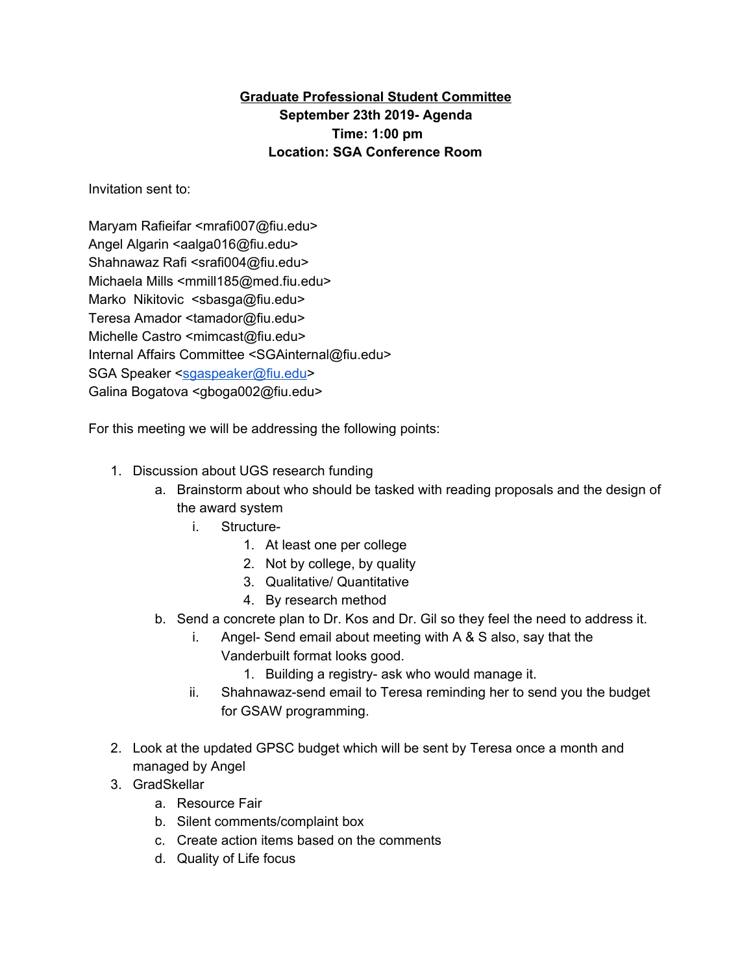## **Graduate Professional Student Committee September 23th 2019- Agenda Time: 1:00 pm Location: SGA Conference Room**

Invitation sent to:

Maryam Rafieifar <mrafi007@fiu.edu> Angel Algarin <aalga016@fiu.edu> Shahnawaz Rafi <srafi004@fiu.edu> Michaela Mills <mmill185@med.fiu.edu> Marko Nikitovic <sbasga@fiu.edu> Teresa Amador <tamador@fiu.edu> Michelle Castro <mimcast@fiu.edu> Internal Affairs Committee <SGAinternal@fiu.edu> SGA Speaker [<sgaspeaker@fiu.edu>](mailto:sgaspeaker@fiu.edu) Galina Bogatova <gboga002@fiu.edu>

For this meeting we will be addressing the following points:

- 1. Discussion about UGS research funding
	- a. Brainstorm about who should be tasked with reading proposals and the design of the award system
		- i. Structure-
			- 1. At least one per college
			- 2. Not by college, by quality
			- 3. Qualitative/ Quantitative
			- 4. By research method
	- b. Send a concrete plan to Dr. Kos and Dr. Gil so they feel the need to address it.
		- i. Angel- Send email about meeting with A & S also, say that the Vanderbuilt format looks good.
			- 1. Building a registry- ask who would manage it.
		- ii. Shahnawaz-send email to Teresa reminding her to send you the budget for GSAW programming.
- 2. Look at the updated GPSC budget which will be sent by Teresa once a month and managed by Angel
- 3. GradSkellar
	- a. Resource Fair
	- b. Silent comments/complaint box
	- c. Create action items based on the comments
	- d. Quality of Life focus